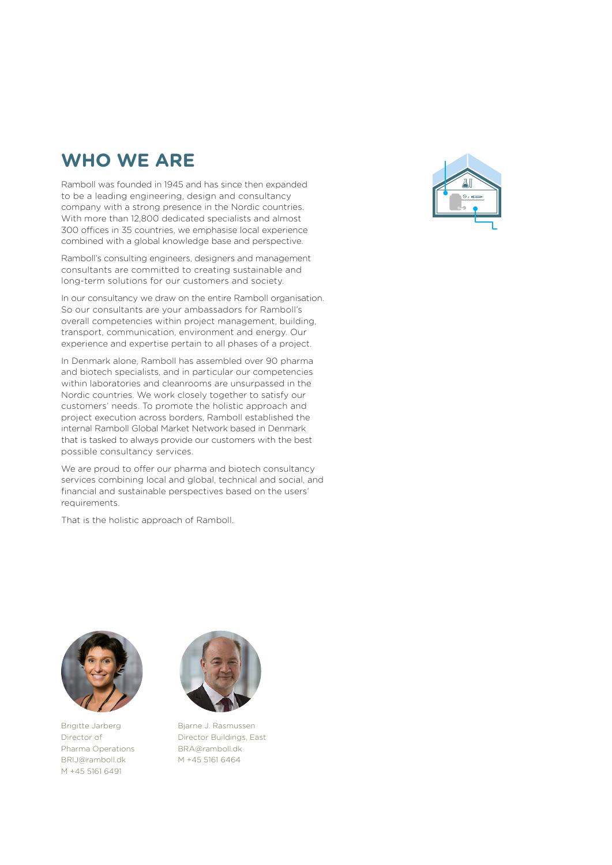# **WHO WE ARE**

Ramboll was founded in 1945 and has since then expanded to be a leading engineering, design and consultancy company with a strong presence in the Nordic countries. With more than 12,800 dedicated specialists and almost 300 offices in 35 countries, we emphasise local experience combined with a global knowledge base and perspective.

Ramboll's consulting engineers, designers and management consultants are committed to creating sustainable and long-term solutions for our customers and society.

In our consultancy we draw on the entire Ramboll organisation. So our consultants are your ambassadors for Ramboll's overall competencies within project management, building, transport, communication, environment and energy. Our experience and expertise pertain to all phases of a project.

In Denmark alone, Ramboll has assembled over 90 pharma and biotech specialists, and in particular our competencies within laboratories and cleanrooms are unsurpassed in the Nordic countries. We work closely together to satisfy our customers' needs. To promote the holistic approach and project execution across borders, Ramboll established the internal Ramboll Global Market Network based in Denmark that is tasked to always provide our customers with the best possible consultancy services.

We are proud to offer our pharma and biotech consultancy services combining local and global, technical and social, and financial and sustainable perspectives based on the users' requirements.

That is the holistic approach of Ramboll.



Brigitte Jarberg Director of Pharma Operations BRIJ@ramboll.dk M +45 5161 6491



Bjarne J. Rasmussen Director Buildings, East BRA@ramboll.dk M +45 5161 6464

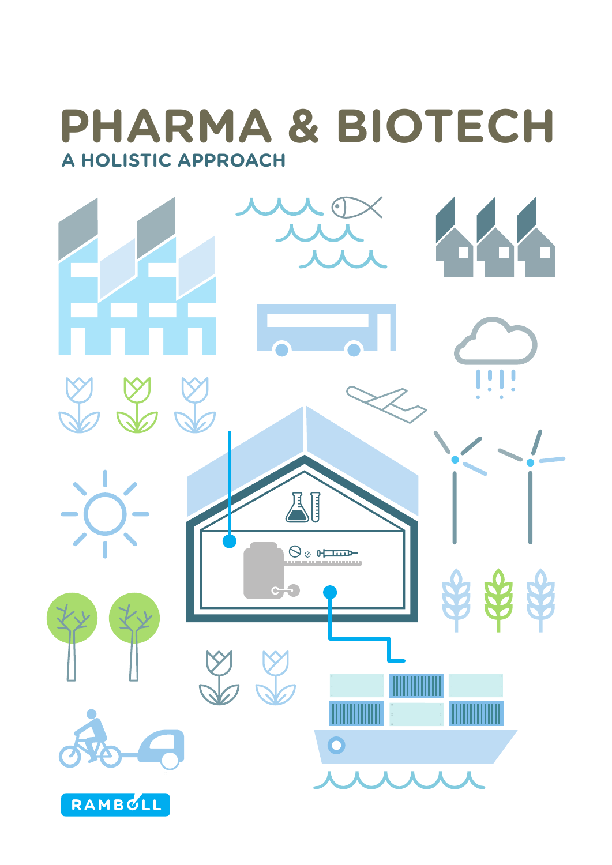# **A HOLISTIC APPROACH PHARMA & BIOTECH**

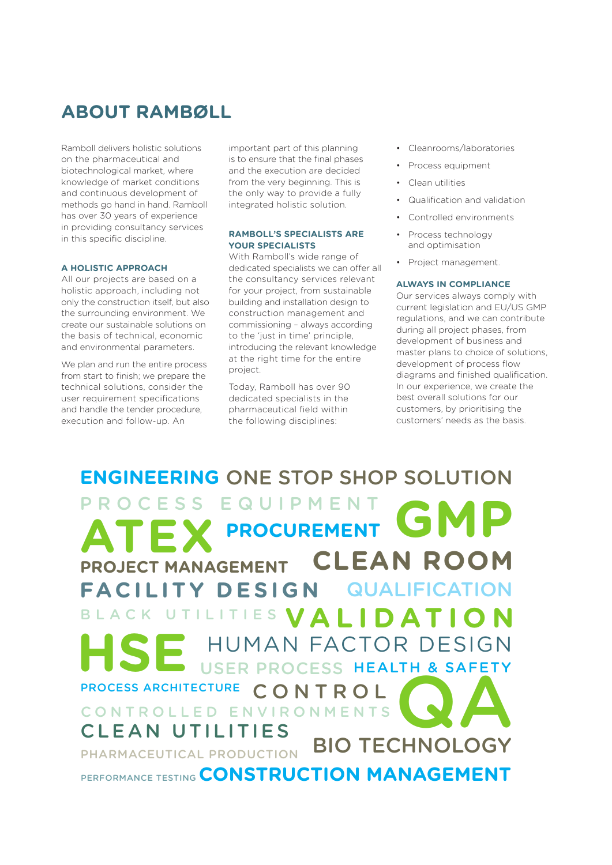# **ABOUT RAMBØLL**

Ramboll delivers holistic solutions on the pharmaceutical and biotechnological market, where knowledge of market conditions and continuous development of methods go hand in hand. Ramboll has over 30 years of experience in providing consultancy services in this specific discipline.

### **A HOLISTIC APPROACH**

All our projects are based on a holistic approach, including not only the construction itself, but also the surrounding environment. We create our sustainable solutions on the basis of technical, economic and environmental parameters.

We plan and run the entire process from start to finish; we prepare the technical solutions, consider the user requirement specifications and handle the tender procedure, execution and follow-up. An

important part of this planning is to ensure that the final phases and the execution are decided from the very beginning. This is the only way to provide a fully integrated holistic solution.

## **RAMBOLL'S SPECIALISTS ARE YOUR SPECIALISTS**

With Ramboll's wide range of dedicated specialists we can offer all the consultancy services relevant for your project, from sustainable building and installation design to construction management and commissioning – always according to the 'just in time' principle, introducing the relevant knowledge at the right time for the entire project.

Today, Ramboll has over 90 dedicated specialists in the pharmaceutical field within the following disciplines:

- Cleanrooms/laboratories
- Process equipment
- Clean utilities
- Qualification and validation
- Controlled environments
- Process technology and optimisation
- Project management.

### **ALWAYS IN COMPLIANCE**

Our services always comply with current legislation and EU/US GMP regulations, and we can contribute during all project phases, from development of business and master plans to choice of solutions, development of process flow diagrams and finished qualification. In our experience, we create the best overall solutions for our customers, by prioritising the customers' needs as the basis.

# **QA ENGINEERING** ONE STOP SHOP SOLUTION USER PROCESS HEALTH & SAFETY **PROJECT MANAGEMENT** CONTROL QUALIFICATION BLACK UTILITIES VALIDATION **GMP HSE PROCUREMENT** PROCESS ARCHITECTURE PERFORMANCE TESTING CONSTRUCTION MANAGEMENT PROCESS EQUIPMENT **CLEAN ROOM FACILITY DESIGN** CONTROLLED ENVIRONMENTS CLEAN UTILITIES BIO TECHNOLOGY HUMAN FACTOR DESIGN PHARMACEUTICAL PRODUCTION